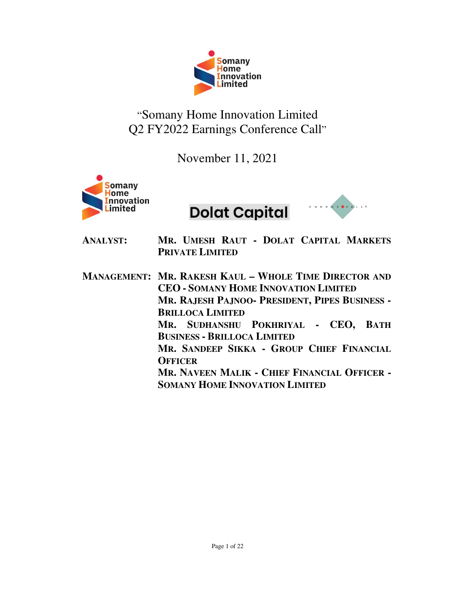

"Somany Home Innovation Limited Q2 FY2022 Earnings Conference Call"

November 11, 2021





- **ANALYST: MR. UMESH RAUT - DOLAT CAPITAL MARKETS PRIVATE LIMITED**
- **MANAGEMENT: MR. RAKESH KAUL – WHOLE TIME DIRECTOR AND CEO - SOMANY HOME INNOVATION LIMITED MR. RAJESH PAJNOO- PRESIDENT, PIPES BUSINESS - BRILLOCA LIMITED MR. SUDHANSHU POKHRIYAL - CEO, BATH BUSINESS - BRILLOCA LIMITED MR. SANDEEP SIKKA - GROUP CHIEF FINANCIAL OFFICER MR. NAVEEN MALIK - CHIEF FINANCIAL OFFICER - SOMANY HOME INNOVATION LIMITED**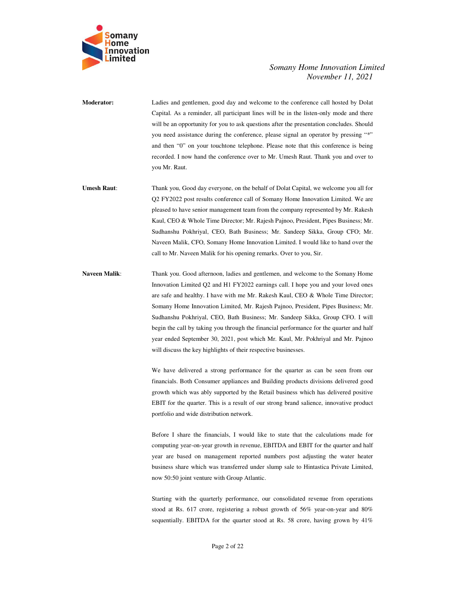

**Moderator:** Ladies and gentlemen, good day and welcome to the conference call hosted by Dolat Capital. As a reminder, all participant lines will be in the listen-only mode and there will be an opportunity for you to ask questions after the presentation concludes. Should you need assistance during the conference, please signal an operator by pressing "\*" and then "0" on your touchtone telephone. Please note that this conference is being recorded. I now hand the conference over to Mr. Umesh Raut. Thank you and over to you Mr. Raut.

**Umesh Raut**: Thank you, Good day everyone, on the behalf of Dolat Capital, we welcome you all for Q2 FY2022 post results conference call of Somany Home Innovation Limited. We are pleased to have senior management team from the company represented by Mr. Rakesh Kaul, CEO & Whole Time Director; Mr. Rajesh Pajnoo, President, Pipes Business; Mr. Sudhanshu Pokhriyal, CEO, Bath Business; Mr. Sandeep Sikka, Group CFO; Mr. Naveen Malik, CFO, Somany Home Innovation Limited. I would like to hand over the call to Mr. Naveen Malik for his opening remarks. Over to you, Sir.

**Naveen Malik**: Thank you. Good afternoon, ladies and gentlemen, and welcome to the Somany Home Innovation Limited Q2 and H1 FY2022 earnings call. I hope you and your loved ones are safe and healthy. I have with me Mr. Rakesh Kaul, CEO & Whole Time Director; Somany Home Innovation Limited, Mr. Rajesh Pajnoo, President, Pipes Business; Mr. Sudhanshu Pokhriyal, CEO, Bath Business; Mr. Sandeep Sikka, Group CFO. I will begin the call by taking you through the financial performance for the quarter and half year ended September 30, 2021, post which Mr. Kaul, Mr. Pokhriyal and Mr. Pajnoo will discuss the key highlights of their respective businesses.

> We have delivered a strong performance for the quarter as can be seen from our financials. Both Consumer appliances and Building products divisions delivered good growth which was ably supported by the Retail business which has delivered positive EBIT for the quarter. This is a result of our strong brand salience, innovative product portfolio and wide distribution network.

> Before I share the financials, I would like to state that the calculations made for computing year-on-year growth in revenue, EBITDA and EBIT for the quarter and half year are based on management reported numbers post adjusting the water heater business share which was transferred under slump sale to Hintastica Private Limited, now 50:50 joint venture with Group Atlantic.

> Starting with the quarterly performance, our consolidated revenue from operations stood at Rs. 617 crore, registering a robust growth of 56% year-on-year and 80% sequentially. EBITDA for the quarter stood at Rs. 58 crore, having grown by 41%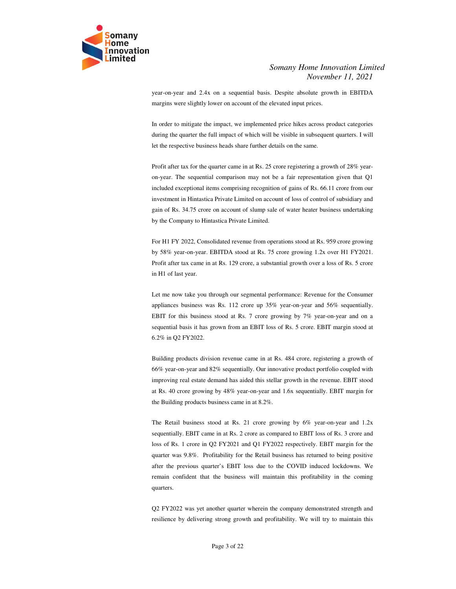

year-on-year and 2.4x on a sequential basis. Despite absolute growth in EBITDA margins were slightly lower on account of the elevated input prices.

 In order to mitigate the impact, we implemented price hikes across product categories during the quarter the full impact of which will be visible in subsequent quarters. I will let the respective business heads share further details on the same.

 Profit after tax for the quarter came in at Rs. 25 crore registering a growth of 28% yearon-year. The sequential comparison may not be a fair representation given that Q1 included exceptional items comprising recognition of gains of Rs. 66.11 crore from our investment in Hintastica Private Limited on account of loss of control of subsidiary and gain of Rs. 34.75 crore on account of slump sale of water heater business undertaking by the Company to Hintastica Private Limited.

 For H1 FY 2022, Consolidated revenue from operations stood at Rs. 959 crore growing by 58% year-on-year. EBITDA stood at Rs. 75 crore growing 1.2x over H1 FY2021. Profit after tax came in at Rs. 129 crore, a substantial growth over a loss of Rs. 5 crore in H1 of last year.

 Let me now take you through our segmental performance: Revenue for the Consumer appliances business was Rs. 112 crore up 35% year-on-year and 56% sequentially. EBIT for this business stood at Rs. 7 crore growing by 7% year-on-year and on a sequential basis it has grown from an EBIT loss of Rs. 5 crore. EBIT margin stood at 6.2% in Q2 FY2022.

 Building products division revenue came in at Rs. 484 crore, registering a growth of 66% year-on-year and 82% sequentially. Our innovative product portfolio coupled with improving real estate demand has aided this stellar growth in the revenue. EBIT stood at Rs. 40 crore growing by 48% year-on-year and 1.6x sequentially. EBIT margin for the Building products business came in at 8.2%.

The Retail business stood at Rs. 21 crore growing by  $6\%$  year-on-year and  $1.2x$ sequentially. EBIT came in at Rs. 2 crore as compared to EBIT loss of Rs. 3 crore and loss of Rs. 1 crore in Q2 FY2021 and Q1 FY2022 respectively. EBIT margin for the quarter was 9.8%. Profitability for the Retail business has returned to being positive after the previous quarter's EBIT loss due to the COVID induced lockdowns. We remain confident that the business will maintain this profitability in the coming quarters.

 Q2 FY2022 was yet another quarter wherein the company demonstrated strength and resilience by delivering strong growth and profitability. We will try to maintain this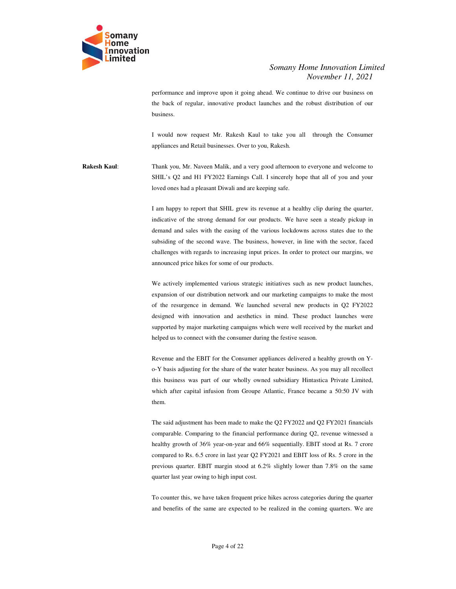

performance and improve upon it going ahead. We continue to drive our business on the back of regular, innovative product launches and the robust distribution of our business.

 I would now request Mr. Rakesh Kaul to take you all through the Consumer appliances and Retail businesses. Over to you, Rakesh.

**Rakesh Kaul**: Thank you, Mr. Naveen Malik, and a very good afternoon to everyone and welcome to SHIL's Q2 and H1 FY2022 Earnings Call. I sincerely hope that all of you and your loved ones had a pleasant Diwali and are keeping safe.

> I am happy to report that SHIL grew its revenue at a healthy clip during the quarter, indicative of the strong demand for our products. We have seen a steady pickup in demand and sales with the easing of the various lockdowns across states due to the subsiding of the second wave. The business, however, in line with the sector, faced challenges with regards to increasing input prices. In order to protect our margins, we announced price hikes for some of our products.

> We actively implemented various strategic initiatives such as new product launches, expansion of our distribution network and our marketing campaigns to make the most of the resurgence in demand. We launched several new products in Q2 FY2022 designed with innovation and aesthetics in mind. These product launches were supported by major marketing campaigns which were well received by the market and helped us to connect with the consumer during the festive season.

> Revenue and the EBIT for the Consumer appliances delivered a healthy growth on Yo-Y basis adjusting for the share of the water heater business. As you may all recollect this business was part of our wholly owned subsidiary Hintastica Private Limited, which after capital infusion from Groupe Atlantic, France became a 50:50 JV with them.

> The said adjustment has been made to make the Q2 FY2022 and Q2 FY2021 financials comparable. Comparing to the financial performance during Q2, revenue witnessed a healthy growth of 36% year-on-year and 66% sequentially. EBIT stood at Rs. 7 crore compared to Rs. 6.5 crore in last year Q2 FY2021 and EBIT loss of Rs. 5 crore in the previous quarter. EBIT margin stood at 6.2% slightly lower than 7.8% on the same quarter last year owing to high input cost.

> To counter this, we have taken frequent price hikes across categories during the quarter and benefits of the same are expected to be realized in the coming quarters. We are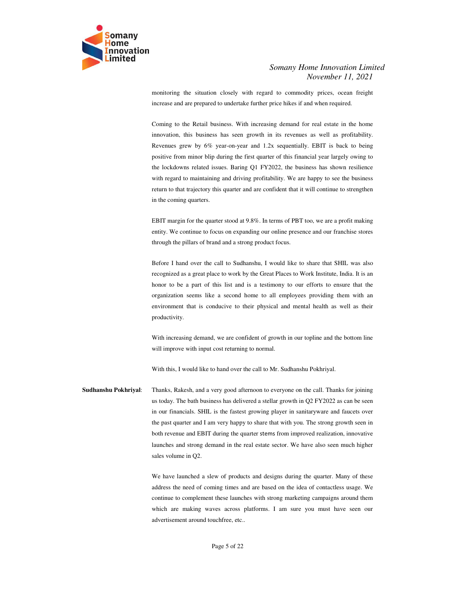

monitoring the situation closely with regard to commodity prices, ocean freight increase and are prepared to undertake further price hikes if and when required.

 Coming to the Retail business. With increasing demand for real estate in the home innovation, this business has seen growth in its revenues as well as profitability. Revenues grew by 6% year-on-year and 1.2x sequentially. EBIT is back to being positive from minor blip during the first quarter of this financial year largely owing to the lockdowns related issues. Baring Q1 FY2022, the business has shown resilience with regard to maintaining and driving profitability. We are happy to see the business return to that trajectory this quarter and are confident that it will continue to strengthen in the coming quarters.

 EBIT margin for the quarter stood at 9.8%. In terms of PBT too, we are a profit making entity. We continue to focus on expanding our online presence and our franchise stores through the pillars of brand and a strong product focus.

 Before I hand over the call to Sudhanshu, I would like to share that SHIL was also recognized as a great place to work by the Great Places to Work Institute, India. It is an honor to be a part of this list and is a testimony to our efforts to ensure that the organization seems like a second home to all employees providing them with an environment that is conducive to their physical and mental health as well as their productivity.

 With increasing demand, we are confident of growth in our topline and the bottom line will improve with input cost returning to normal.

With this, I would like to hand over the call to Mr. Sudhanshu Pokhriyal.

**Sudhanshu Pokhriyal**: Thanks, Rakesh, and a very good afternoon to everyone on the call. Thanks for joining us today. The bath business has delivered a stellar growth in Q2 FY2022 as can be seen in our financials. SHIL is the fastest growing player in sanitaryware and faucets over the past quarter and I am very happy to share that with you. The strong growth seen in both revenue and EBIT during the quarter stems from improved realization, innovative launches and strong demand in the real estate sector. We have also seen much higher sales volume in Q2.

> We have launched a slew of products and designs during the quarter. Many of these address the need of coming times and are based on the idea of contactless usage. We continue to complement these launches with strong marketing campaigns around them which are making waves across platforms. I am sure you must have seen our advertisement around touchfree, etc..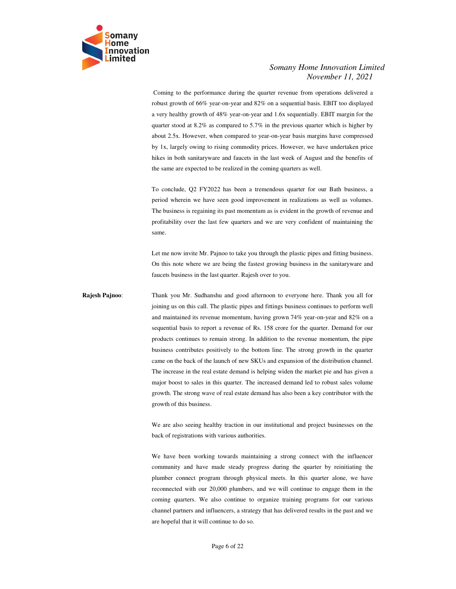

 Coming to the performance during the quarter revenue from operations delivered a robust growth of 66% year-on-year and 82% on a sequential basis. EBIT too displayed a very healthy growth of 48% year-on-year and 1.6x sequentially. EBIT margin for the quarter stood at 8.2% as compared to 5.7% in the previous quarter which is higher by about 2.5x. However, when compared to year-on-year basis margins have compressed by 1x, largely owing to rising commodity prices. However, we have undertaken price hikes in both sanitaryware and faucets in the last week of August and the benefits of the same are expected to be realized in the coming quarters as well.

To conclude, Q2 FY2022 has been a tremendous quarter for our Bath business, a period wherein we have seen good improvement in realizations as well as volumes. The business is regaining its past momentum as is evident in the growth of revenue and profitability over the last few quarters and we are very confident of maintaining the same.

Let me now invite Mr. Pajnoo to take you through the plastic pipes and fitting business. On this note where we are being the fastest growing business in the sanitaryware and faucets business in the last quarter. Rajesh over to you.

**Rajesh Pajnoo**: Thank you Mr. Sudhanshu and good afternoon to everyone here. Thank you all for joining us on this call. The plastic pipes and fittings business continues to perform well and maintained its revenue momentum, having grown 74% year-on-year and 82% on a sequential basis to report a revenue of Rs. 158 crore for the quarter. Demand for our products continues to remain strong. In addition to the revenue momentum, the pipe business contributes positively to the bottom line. The strong growth in the quarter came on the back of the launch of new SKUs and expansion of the distribution channel. The increase in the real estate demand is helping widen the market pie and has given a major boost to sales in this quarter. The increased demand led to robust sales volume growth. The strong wave of real estate demand has also been a key contributor with the growth of this business.

> We are also seeing healthy traction in our institutional and project businesses on the back of registrations with various authorities.

> We have been working towards maintaining a strong connect with the influencer community and have made steady progress during the quarter by reinitiating the plumber connect program through physical meets. In this quarter alone, we have reconnected with our 20,000 plumbers, and we will continue to engage them in the coming quarters. We also continue to organize training programs for our various channel partners and influencers, a strategy that has delivered results in the past and we are hopeful that it will continue to do so.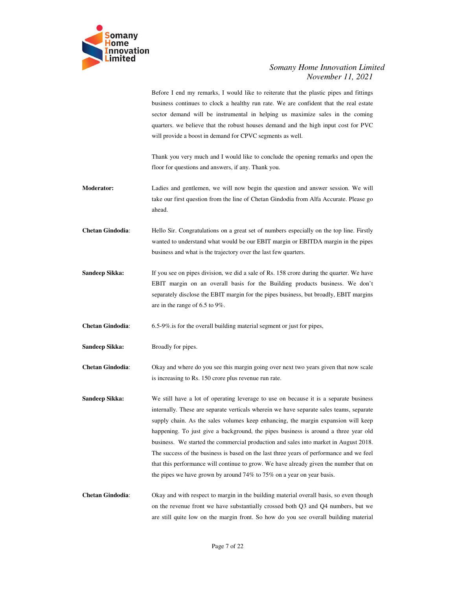

Before I end my remarks, I would like to reiterate that the plastic pipes and fittings business continues to clock a healthy run rate. We are confident that the real estate sector demand will be instrumental in helping us maximize sales in the coming quarters. we believe that the robust houses demand and the high input cost for PVC will provide a boost in demand for CPVC segments as well.

Thank you very much and I would like to conclude the opening remarks and open the floor for questions and answers, if any. Thank you.

- **Moderator:** Ladies and gentlemen, we will now begin the question and answer session. We will take our first question from the line of Chetan Gindodia from Alfa Accurate. Please go ahead.
- **Chetan Gindodia**: Hello Sir. Congratulations on a great set of numbers especially on the top line. Firstly wanted to understand what would be our EBIT margin or EBITDA margin in the pipes business and what is the trajectory over the last few quarters.
- **Sandeep Sikka:** If you see on pipes division, we did a sale of Rs. 158 crore during the quarter. We have EBIT margin on an overall basis for the Building products business. We don't separately disclose the EBIT margin for the pipes business, but broadly, EBIT margins are in the range of 6.5 to 9%.

**Chetan Gindodia**: 6.5-9%.is for the overall building material segment or just for pipes,

**Sandeep Sikka:** Broadly for pipes.

- **Chetan Gindodia**: Okay and where do you see this margin going over next two years given that now scale is increasing to Rs. 150 crore plus revenue run rate.
- **Sandeep Sikka:** We still have a lot of operating leverage to use on because it is a separate business internally. These are separate verticals wherein we have separate sales teams, separate supply chain. As the sales volumes keep enhancing, the margin expansion will keep happening. To just give a background, the pipes business is around a three year old business. We started the commercial production and sales into market in August 2018. The success of the business is based on the last three years of performance and we feel that this performance will continue to grow. We have already given the number that on the pipes we have grown by around 74% to 75% on a year on year basis.
- **Chetan Gindodia**: Okay and with respect to margin in the building material overall basis, so even though on the revenue front we have substantially crossed both Q3 and Q4 numbers, but we are still quite low on the margin front. So how do you see overall building material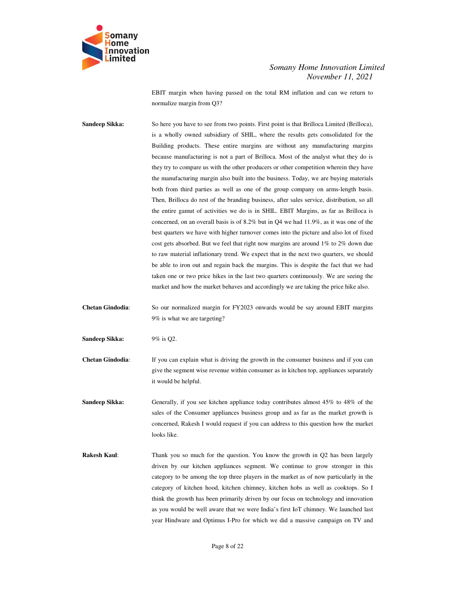

EBIT margin when having passed on the total RM inflation and can we return to normalize margin from Q3?

**Sandeep Sikka:** So here you have to see from two points. First point is that Brilloca Limited (Brilloca), is a wholly owned subsidiary of SHIL, where the results gets consolidated for the Building products. These entire margins are without any manufacturing margins because manufacturing is not a part of Brilloca. Most of the analyst what they do is they try to compare us with the other producers or other competition wherein they have the manufacturing margin also built into the business. Today, we are buying materials both from third parties as well as one of the group company on arms-length basis. Then, Brilloca do rest of the branding business, after sales service, distribution, so all the entire gamut of activities we do is in SHIL. EBIT Margins, as far as Brilloca is concerned, on an overall basis is of 8.2% but in Q4 we had 11.9%, as it was one of the best quarters we have with higher turnover comes into the picture and also lot of fixed cost gets absorbed. But we feel that right now margins are around 1% to 2% down due to raw material inflationary trend. We expect that in the next two quarters, we should be able to iron out and regain back the margins. This is despite the fact that we had taken one or two price hikes in the last two quarters continuously. We are seeing the market and how the market behaves and accordingly we are taking the price hike also.

**Chetan Gindodia**: So our normalized margin for FY2023 onwards would be say around EBIT margins 9% is what we are targeting?

**Sandeep Sikka:** 9% is Q2.

**Chetan Gindodia**: If you can explain what is driving the growth in the consumer business and if you can give the segment wise revenue within consumer as in kitchen top, appliances separately it would be helpful.

**Sandeep Sikka:** Generally, if you see kitchen appliance today contributes almost 45% to 48% of the sales of the Consumer appliances business group and as far as the market growth is concerned, Rakesh I would request if you can address to this question how the market looks like.

**Rakesh Kaul:** Thank you so much for the question. You know the growth in Q2 has been largely driven by our kitchen appliances segment. We continue to grow stronger in this category to be among the top three players in the market as of now particularly in the category of kitchen hood, kitchen chimney, kitchen hobs as well as cooktops. So I think the growth has been primarily driven by our focus on technology and innovation as you would be well aware that we were India's first IoT chimney. We launched last year Hindware and Optimus I-Pro for which we did a massive campaign on TV and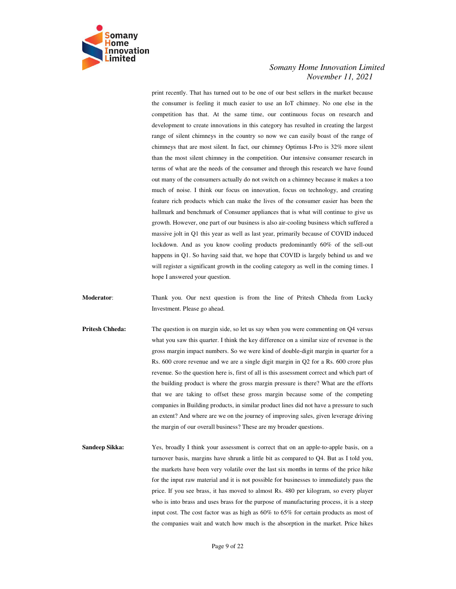

print recently. That has turned out to be one of our best sellers in the market because the consumer is feeling it much easier to use an IoT chimney. No one else in the competition has that. At the same time, our continuous focus on research and development to create innovations in this category has resulted in creating the largest range of silent chimneys in the country so now we can easily boast of the range of chimneys that are most silent. In fact, our chimney Optimus I-Pro is 32% more silent than the most silent chimney in the competition. Our intensive consumer research in terms of what are the needs of the consumer and through this research we have found out many of the consumers actually do not switch on a chimney because it makes a too much of noise. I think our focus on innovation, focus on technology, and creating feature rich products which can make the lives of the consumer easier has been the hallmark and benchmark of Consumer appliances that is what will continue to give us growth. However, one part of our business is also air-cooling business which suffered a massive jolt in Q1 this year as well as last year, primarily because of COVID induced lockdown. And as you know cooling products predominantly 60% of the sell-out happens in Q1. So having said that, we hope that COVID is largely behind us and we will register a significant growth in the cooling category as well in the coming times. I hope I answered your question.

**Moderator**: Thank you. Our next question is from the line of Pritesh Chheda from Lucky Investment. Please go ahead.

- **Pritesh Chheda:** The question is on margin side, so let us say when you were commenting on Q4 versus what you saw this quarter. I think the key difference on a similar size of revenue is the gross margin impact numbers. So we were kind of double-digit margin in quarter for a Rs. 600 crore revenue and we are a single digit margin in Q2 for a Rs. 600 crore plus revenue. So the question here is, first of all is this assessment correct and which part of the building product is where the gross margin pressure is there? What are the efforts that we are taking to offset these gross margin because some of the competing companies in Building products, in similar product lines did not have a pressure to such an extent? And where are we on the journey of improving sales, given leverage driving the margin of our overall business? These are my broader questions.
- **Sandeep Sikka:** Yes, broadly I think your assessment is correct that on an apple-to-apple basis, on a turnover basis, margins have shrunk a little bit as compared to Q4. But as I told you, the markets have been very volatile over the last six months in terms of the price hike for the input raw material and it is not possible for businesses to immediately pass the price. If you see brass, it has moved to almost Rs. 480 per kilogram, so every player who is into brass and uses brass for the purpose of manufacturing process, it is a steep input cost. The cost factor was as high as 60% to 65% for certain products as most of the companies wait and watch how much is the absorption in the market. Price hikes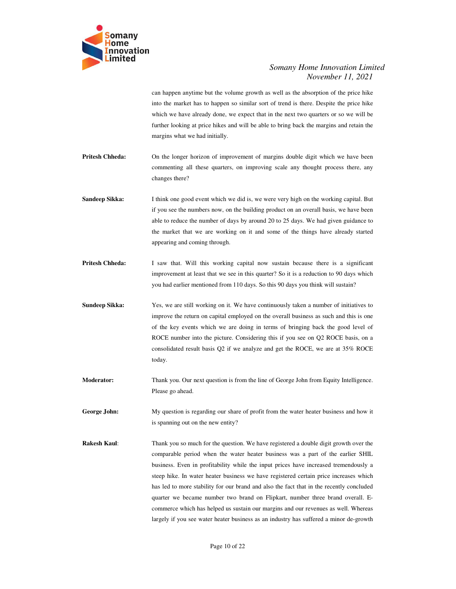

can happen anytime but the volume growth as well as the absorption of the price hike into the market has to happen so similar sort of trend is there. Despite the price hike which we have already done, we expect that in the next two quarters or so we will be further looking at price hikes and will be able to bring back the margins and retain the margins what we had initially.

**Pritesh Chheda:** On the longer horizon of improvement of margins double digit which we have been commenting all these quarters, on improving scale any thought process there, any changes there?

- **Sandeep Sikka:** I think one good event which we did is, we were very high on the working capital. But if you see the numbers now, on the building product on an overall basis, we have been able to reduce the number of days by around 20 to 25 days. We had given guidance to the market that we are working on it and some of the things have already started appearing and coming through.
- **Pritesh Chheda:** I saw that. Will this working capital now sustain because there is a significant improvement at least that we see in this quarter? So it is a reduction to 90 days which you had earlier mentioned from 110 days. So this 90 days you think will sustain?
- **Sundeep Sikka:** Yes, we are still working on it. We have continuously taken a number of initiatives to improve the return on capital employed on the overall business as such and this is one of the key events which we are doing in terms of bringing back the good level of ROCE number into the picture. Considering this if you see on Q2 ROCE basis, on a consolidated result basis Q2 if we analyze and get the ROCE, we are at 35% ROCE today.
- **Moderator:** Thank you. Our next question is from the line of George John from Equity Intelligence. Please go ahead.

George John: My question is regarding our share of profit from the water heater business and how it is spanning out on the new entity?

**Rakesh Kaul**: Thank you so much for the question. We have registered a double digit growth over the comparable period when the water heater business was a part of the earlier SHIL business. Even in profitability while the input prices have increased tremendously a steep hike. In water heater business we have registered certain price increases which has led to more stability for our brand and also the fact that in the recently concluded quarter we became number two brand on Flipkart, number three brand overall. Ecommerce which has helped us sustain our margins and our revenues as well. Whereas largely if you see water heater business as an industry has suffered a minor de-growth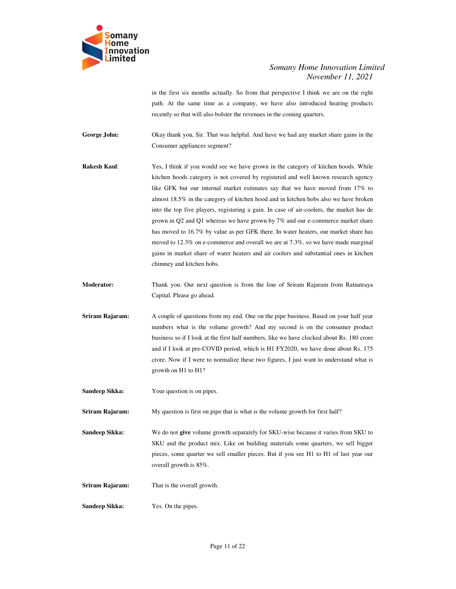

in the first six months actually. So from that perspective I think we are on the right path. At the same time as a company, we have also introduced heating products recently so that will also bolster the revenues in the coming quarters.

George John: Okay thank you, Sir. That was helpful. And have we had any market share gains in the Consumer appliances segment?

- **Rakesh Kaul**: Yes, I think if you would see we have grown in the category of kitchen hoods. While kitchen hoods category is not covered by registered and well known research agency like GFK but our internal market estimates say that we have moved from 17% to almost 18.5% in the category of kitchen hood and in kitchen hobs also we have broken into the top five players, registering a gain. In case of air-coolers, the market has de grown in Q2 and Q1 whereas we have grown by 7% and our e-commerce market share has moved to 16.7% by value as per GFK there. In water heaters, our market share has moved to 12.3% on e-commerce and overall we are at 7.3%, so we have made marginal gains in market share of water heaters and air coolers and substantial ones in kitchen chimney and kitchen hobs.
- **Moderator:** Thank you. Our next question is from the line of Sriram Rajaram from Ratnatraya Capital. Please go ahead.
- **Sriram Rajaram:** A couple of questions from my end. One on the pipe business. Based on your half year numbers what is the volume growth? And my second is on the consumer product business so if I look at the first half numbers, like we have clocked about Rs. 180 crore and if I look at pre-COVID period, which is H1 FY2020, we have done about Rs. 175 crore. Now if I were to normalize these two figures, I just want to understand what is growth on H1 to H1?
- **Sandeep Sikka:** Your question is on pipes.

**Sriram Rajaram:** My question is first on pipe that is what is the volume growth for first half?

- **Sandeep Sikka:** We do not **give** volume growth separately for SKU-wise because it varies from SKU to SKU and the product mix. Like on building materials some quarters, we sell bigger pieces, some quarter we sell smaller pieces. But if you see H1 to H1 of last year our overall growth is 85%.
- **Sriram Rajaram:** That is the overall growth.
- **Sandeep Sikka:** Yes. On the pipes.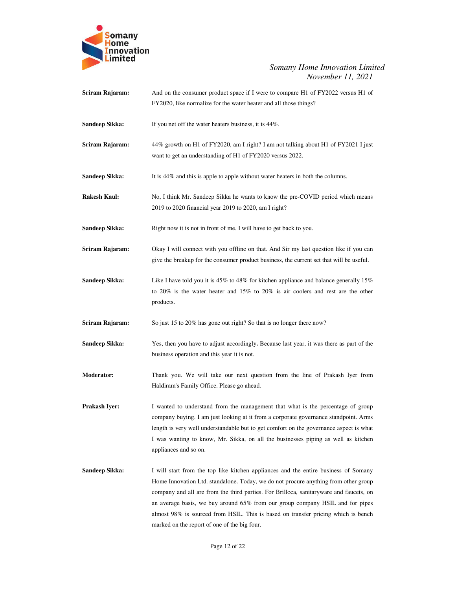

# *November 11, 2021*

| Sriram Rajaram:     | And on the consumer product space if I were to compare H1 of FY2022 versus H1 of<br>FY2020, like normalize for the water heater and all those things?                                                                                                                                                                                                                                                                                                                                      |
|---------------------|--------------------------------------------------------------------------------------------------------------------------------------------------------------------------------------------------------------------------------------------------------------------------------------------------------------------------------------------------------------------------------------------------------------------------------------------------------------------------------------------|
| Sandeep Sikka:      | If you net off the water heaters business, it is 44%.                                                                                                                                                                                                                                                                                                                                                                                                                                      |
| Sriram Rajaram:     | 44% growth on H1 of FY2020, am I right? I am not talking about H1 of FY2021 I just<br>want to get an understanding of H1 of FY2020 versus 2022.                                                                                                                                                                                                                                                                                                                                            |
| Sandeep Sikka:      | It is 44% and this is apple to apple without water heaters in both the columns.                                                                                                                                                                                                                                                                                                                                                                                                            |
| <b>Rakesh Kaul:</b> | No, I think Mr. Sandeep Sikka he wants to know the pre-COVID period which means<br>2019 to 2020 financial year 2019 to 2020, am I right?                                                                                                                                                                                                                                                                                                                                                   |
| Sandeep Sikka:      | Right now it is not in front of me. I will have to get back to you.                                                                                                                                                                                                                                                                                                                                                                                                                        |
| Sriram Rajaram:     | Okay I will connect with you offline on that. And Sir my last question like if you can<br>give the breakup for the consumer product business, the current set that will be useful.                                                                                                                                                                                                                                                                                                         |
| Sandeep Sikka:      | Like I have told you it is 45% to 48% for kitchen appliance and balance generally 15%<br>to $20\%$ is the water heater and $15\%$ to $20\%$ is air coolers and rest are the other<br>products.                                                                                                                                                                                                                                                                                             |
| Sriram Rajaram:     | So just 15 to 20% has gone out right? So that is no longer there now?                                                                                                                                                                                                                                                                                                                                                                                                                      |
| Sandeep Sikka:      | Yes, then you have to adjust accordingly. Because last year, it was there as part of the<br>business operation and this year it is not.                                                                                                                                                                                                                                                                                                                                                    |
| Moderator:          | Thank you. We will take our next question from the line of Prakash Iyer from<br>Haldiram's Family Office. Please go ahead.                                                                                                                                                                                                                                                                                                                                                                 |
| Prakash Iyer:       | I wanted to understand from the management that what is the percentage of group<br>company buying. I am just looking at it from a corporate governance standpoint. Arms<br>length is very well understandable but to get comfort on the governance aspect is what<br>I was wanting to know, Mr. Sikka, on all the businesses piping as well as kitchen<br>appliances and so on.                                                                                                            |
| Sandeep Sikka:      | I will start from the top like kitchen appliances and the entire business of Somany<br>Home Innovation Ltd. standalone. Today, we do not procure anything from other group<br>company and all are from the third parties. For Brilloca, sanitaryware and faucets, on<br>an average basis, we buy around 65% from our group company HSIL and for pipes<br>almost 98% is sourced from HSIL. This is based on transfer pricing which is bench<br>marked on the report of one of the big four. |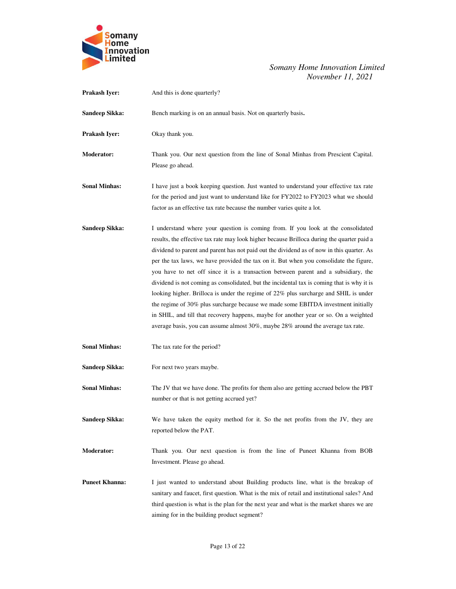

# *November 11, 2021*

| Prakash Iyer:         | And this is done quarterly?                                                                                                                                                                                                                                                                                                                                                                                                                                                                                                                                                                                                                                                                                                                                                                                                                                                                                        |
|-----------------------|--------------------------------------------------------------------------------------------------------------------------------------------------------------------------------------------------------------------------------------------------------------------------------------------------------------------------------------------------------------------------------------------------------------------------------------------------------------------------------------------------------------------------------------------------------------------------------------------------------------------------------------------------------------------------------------------------------------------------------------------------------------------------------------------------------------------------------------------------------------------------------------------------------------------|
| Sandeep Sikka:        | Bench marking is on an annual basis. Not on quarterly basis.                                                                                                                                                                                                                                                                                                                                                                                                                                                                                                                                                                                                                                                                                                                                                                                                                                                       |
| Prakash Iyer:         | Okay thank you.                                                                                                                                                                                                                                                                                                                                                                                                                                                                                                                                                                                                                                                                                                                                                                                                                                                                                                    |
| <b>Moderator:</b>     | Thank you. Our next question from the line of Sonal Minhas from Prescient Capital.<br>Please go ahead.                                                                                                                                                                                                                                                                                                                                                                                                                                                                                                                                                                                                                                                                                                                                                                                                             |
| <b>Sonal Minhas:</b>  | I have just a book keeping question. Just wanted to understand your effective tax rate<br>for the period and just want to understand like for FY2022 to FY2023 what we should<br>factor as an effective tax rate because the number varies quite a lot.                                                                                                                                                                                                                                                                                                                                                                                                                                                                                                                                                                                                                                                            |
| Sandeep Sikka:        | I understand where your question is coming from. If you look at the consolidated<br>results, the effective tax rate may look higher because Brilloca during the quarter paid a<br>dividend to parent and parent has not paid out the dividend as of now in this quarter. As<br>per the tax laws, we have provided the tax on it. But when you consolidate the figure,<br>you have to net off since it is a transaction between parent and a subsidiary, the<br>dividend is not coming as consolidated, but the incidental tax is coming that is why it is<br>looking higher. Brilloca is under the regime of 22% plus surcharge and SHIL is under<br>the regime of 30% plus surcharge because we made some EBITDA investment initially<br>in SHIL, and till that recovery happens, maybe for another year or so. On a weighted<br>average basis, you can assume almost 30%, maybe 28% around the average tax rate. |
| <b>Sonal Minhas:</b>  | The tax rate for the period?                                                                                                                                                                                                                                                                                                                                                                                                                                                                                                                                                                                                                                                                                                                                                                                                                                                                                       |
| Sandeep Sikka:        | For next two years maybe.                                                                                                                                                                                                                                                                                                                                                                                                                                                                                                                                                                                                                                                                                                                                                                                                                                                                                          |
| <b>Sonal Minhas:</b>  | The JV that we have done. The profits for them also are getting accrued below the PBT<br>number or that is not getting accrued yet?                                                                                                                                                                                                                                                                                                                                                                                                                                                                                                                                                                                                                                                                                                                                                                                |
| <b>Sandeep Sikka:</b> | We have taken the equity method for it. So the net profits from the JV, they are<br>reported below the PAT.                                                                                                                                                                                                                                                                                                                                                                                                                                                                                                                                                                                                                                                                                                                                                                                                        |
| <b>Moderator:</b>     | Thank you. Our next question is from the line of Puneet Khanna from BOB<br>Investment. Please go ahead.                                                                                                                                                                                                                                                                                                                                                                                                                                                                                                                                                                                                                                                                                                                                                                                                            |
| <b>Puneet Khanna:</b> | I just wanted to understand about Building products line, what is the breakup of<br>sanitary and faucet, first question. What is the mix of retail and institutional sales? And<br>third question is what is the plan for the next year and what is the market shares we are<br>aiming for in the building product segment?                                                                                                                                                                                                                                                                                                                                                                                                                                                                                                                                                                                        |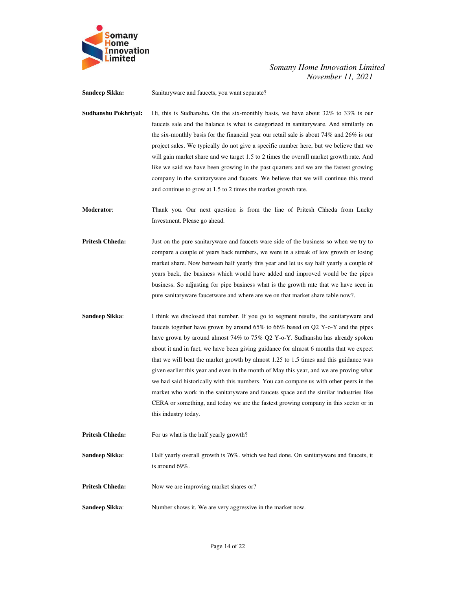

Sandeep Sikka: Sanitaryware and faucets, you want separate?

**Sudhanshu Pokhriyal:** Hi, this is Sudhanshu**.** On the six-monthly basis, we have about 32% to 33% is our faucets sale and the balance is what is categorized in sanitaryware. And similarly on the six-monthly basis for the financial year our retail sale is about 74% and 26% is our project sales. We typically do not give a specific number here, but we believe that we will gain market share and we target 1.5 to 2 times the overall market growth rate. And like we said we have been growing in the past quarters and we are the fastest growing company in the sanitaryware and faucets. We believe that we will continue this trend and continue to grow at 1.5 to 2 times the market growth rate.

**Moderator**: Thank you. Our next question is from the line of Pritesh Chheda from Lucky Investment. Please go ahead.

- **Pritesh Chheda:** Just on the pure sanitaryware and faucets ware side of the business so when we try to compare a couple of years back numbers, we were in a streak of low growth or losing market share. Now between half yearly this year and let us say half yearly a couple of years back, the business which would have added and improved would be the pipes business. So adjusting for pipe business what is the growth rate that we have seen in pure sanitaryware faucetware and where are we on that market share table now?.
- **Sandeep Sikka:** I think we disclosed that number. If you go to segment results, the sanitaryware and faucets together have grown by around 65% to 66% based on Q2 Y-o-Y and the pipes have grown by around almost 74% to 75% Q2 Y-o-Y. Sudhanshu has already spoken about it and in fact, we have been giving guidance for almost 6 months that we expect that we will beat the market growth by almost 1.25 to 1.5 times and this guidance was given earlier this year and even in the month of May this year, and we are proving what we had said historically with this numbers. You can compare us with other peers in the market who work in the sanitaryware and faucets space and the similar industries like CERA or something, and today we are the fastest growing company in this sector or in this industry today.

**Pritesh Chheda:** For us what is the half yearly growth?

**Sandeep Sikka:** Half yearly overall growth is 76%, which we had done. On sanitaryware and faucets, it is around 69%.

**Pritesh Chheda:** Now we are improving market shares or?

**Sandeep Sikka:** Number shows it. We are very aggressive in the market now.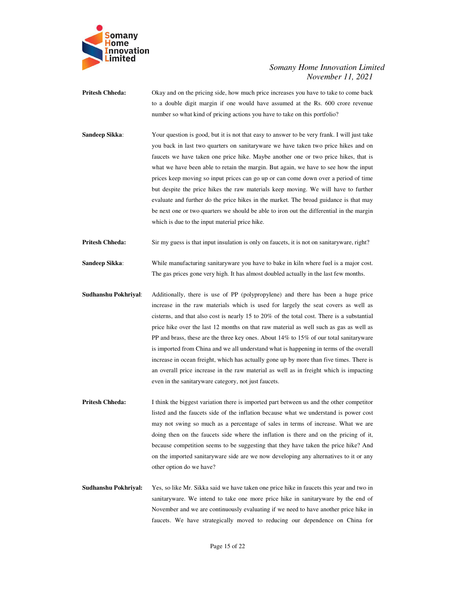

- **Pritesh Chheda:** Okay and on the pricing side, how much price increases you have to take to come back to a double digit margin if one would have assumed at the Rs. 600 crore revenue number so what kind of pricing actions you have to take on this portfolio?
- **Sandeep Sikka**: Your question is good, but it is not that easy to answer to be very frank. I will just take you back in last two quarters on sanitaryware we have taken two price hikes and on faucets we have taken one price hike. Maybe another one or two price hikes, that is what we have been able to retain the margin. But again, we have to see how the input prices keep moving so input prices can go up or can come down over a period of time but despite the price hikes the raw materials keep moving. We will have to further evaluate and further do the price hikes in the market. The broad guidance is that may be next one or two quarters we should be able to iron out the differential in the margin which is due to the input material price hike.
- **Pritesh Chheda:** Sir my guess is that input insulation is only on faucets, it is not on sanitaryware, right?
- **Sandeep Sikka:** While manufacturing sanitaryware you have to bake in kiln where fuel is a major cost. The gas prices gone very high. It has almost doubled actually in the last few months.
- **Sudhanshu Pokhriyal**: Additionally, there is use of PP (polypropylene) and there has been a huge price increase in the raw materials which is used for largely the seat covers as well as cisterns, and that also cost is nearly 15 to 20% of the total cost. There is a substantial price hike over the last 12 months on that raw material as well such as gas as well as PP and brass, these are the three key ones. About 14% to 15% of our total sanitaryware is imported from China and we all understand what is happening in terms of the overall increase in ocean freight, which has actually gone up by more than five times. There is an overall price increase in the raw material as well as in freight which is impacting even in the sanitaryware category, not just faucets.
- **Pritesh Chheda:** I think the biggest variation there is imported part between us and the other competitor listed and the faucets side of the inflation because what we understand is power cost may not swing so much as a percentage of sales in terms of increase. What we are doing then on the faucets side where the inflation is there and on the pricing of it, because competition seems to be suggesting that they have taken the price hike? And on the imported sanitaryware side are we now developing any alternatives to it or any other option do we have?
- **Sudhanshu Pokhriyal:** Yes, so like Mr. Sikka said we have taken one price hike in faucets this year and two in sanitaryware. We intend to take one more price hike in sanitaryware by the end of November and we are continuously evaluating if we need to have another price hike in faucets. We have strategically moved to reducing our dependence on China for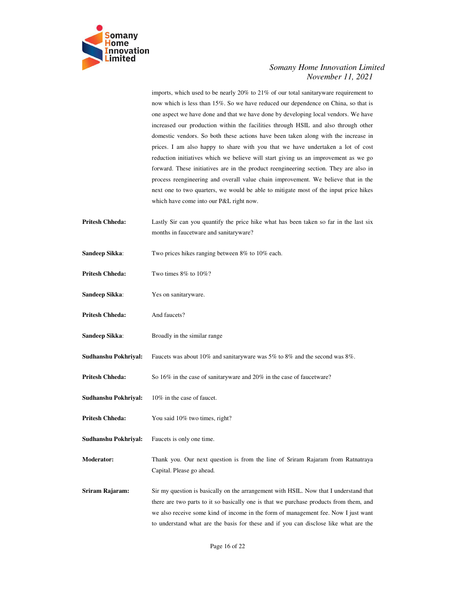

imports, which used to be nearly 20% to 21% of our total sanitaryware requirement to now which is less than 15%. So we have reduced our dependence on China, so that is one aspect we have done and that we have done by developing local vendors. We have increased our production within the facilities through HSIL and also through other domestic vendors. So both these actions have been taken along with the increase in prices. I am also happy to share with you that we have undertaken a lot of cost reduction initiatives which we believe will start giving us an improvement as we go forward. These initiatives are in the product reengineering section. They are also in process reengineering and overall value chain improvement. We believe that in the next one to two quarters, we would be able to mitigate most of the input price hikes which have come into our P&L right now.

- **Pritesh Chheda:** Lastly Sir can you quantify the price hike what has been taken so far in the last six months in faucetware and sanitaryware?
- **Sandeep Sikka**: Two prices hikes ranging between 8% to 10% each.
- **Pritesh Chheda:** Two times 8% to 10%?
- **Sandeep Sikka**: Yes on sanitaryware.
- **Pritesh Chheda:** And faucets?
- **Sandeep Sikka:** Broadly in the similar range
- **Sudhanshu Pokhriyal:** Faucets was about 10% and sanitaryware was 5% to 8% and the second was 8%.
- **Pritesh Chheda:** So 16% in the case of sanitaryware and 20% in the case of faucetware?
- **Sudhanshu Pokhriyal:** 10% in the case of faucet.
- Pritesh Chheda: You said 10% two times, right?
- **Sudhanshu Pokhriyal:** Faucets is only one time.
- **Moderator:** Thank you. Our next question is from the line of Sriram Rajaram from Ratnatraya Capital. Please go ahead.
- **Sriram Rajaram:** Sir my question is basically on the arrangement with HSIL. Now that I understand that there are two parts to it so basically one is that we purchase products from them, and we also receive some kind of income in the form of management fee. Now I just want to understand what are the basis for these and if you can disclose like what are the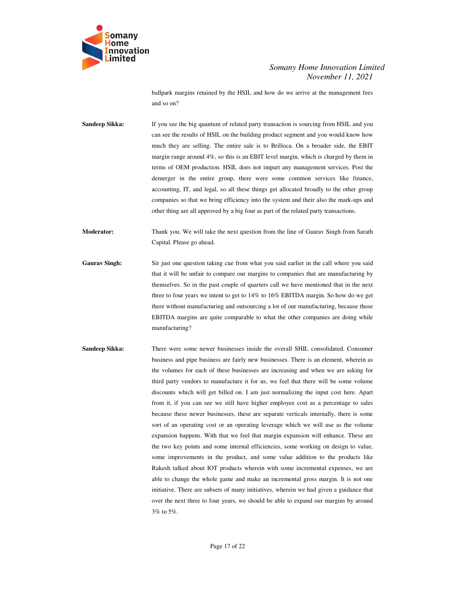

ballpark margins retained by the HSIL and how do we arrive at the management fees and so on?

**Sandeep Sikka:** If you see the big quantum of related party transaction is sourcing from HSIL and you can see the results of HSIL on the building product segment and you would know how much they are selling. The entire sale is to Brilloca. On a broader side, the EBIT margin range around 4%, so this is an EBIT level margin, which is charged by them in terms of OEM production. HSIL does not impart any management services. Post the demerger in the entire group, there were some common services like finance, accounting, IT, and legal, so all these things get allocated broadly to the other group companies so that we bring efficiency into the system and their also the mark-ups and other thing are all approved by a big four as part of the related party transactions.

**Moderator:** Thank you. We will take the next question from the line of Gaurav Singh from Sarath Capital. Please go ahead.

- **Gaurav Singh:** Sir just one question taking cue from what you said earlier in the call where you said that it will be unfair to compare our margins to companies that are manufacturing by themselves. So in the past couple of quarters call we have mentioned that in the next three to four years we intent to get to 14% to 16% EBITDA margin. So how do we get there without manufacturing and outsourcing a lot of our manufacturing, because those EBITDA margins are quite comparable to what the other companies are doing while manufacturing?
- **Sandeep Sikka:** There were some newer businesses inside the overall SHIL consolidated. Consumer business and pipe business are fairly new businesses. There is an element, wherein as the volumes for each of these businesses are increasing and when we are asking for third party vendors to manufacture it for us, we feel that there will be some volume discounts which will get billed on. I am just normalizing the input cost here. Apart from it, if you can see we still have higher employee cost as a percentage to sales because these newer businesses, these are separate verticals internally, there is some sort of an operating cost or an operating leverage which we will use as the volume expansion happens. With that we feel that margin expansion will enhance. These are the two key points and some internal efficiencies, some working on design to value, some improvements in the product, and some value addition to the products like Rakesh talked about IOT products wherein with some incremental expenses, we are able to change the whole game and make an incremental gross margin. It is not one initiative. There are subsets of many initiatives, wherein we had given a guidance that over the next three to four years, we should be able to expand our margins by around 3% to 5%.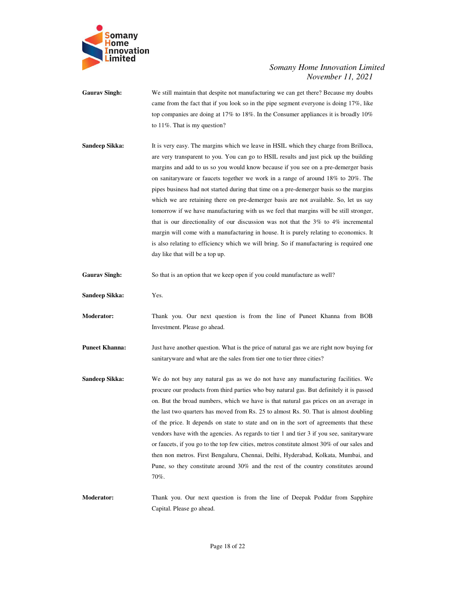

- **Gaurav Singh:** We still maintain that despite not manufacturing we can get there? Because my doubts came from the fact that if you look so in the pipe segment everyone is doing 17%, like top companies are doing at 17% to 18%. In the Consumer appliances it is broadly 10% to 11%. That is my question?
- **Sandeep Sikka:** It is very easy. The margins which we leave in HSIL which they charge from Brilloca, are very transparent to you. You can go to HSIL results and just pick up the building margins and add to us so you would know because if you see on a pre-demerger basis on sanitaryware or faucets together we work in a range of around 18% to 20%. The pipes business had not started during that time on a pre-demerger basis so the margins which we are retaining there on pre-demerger basis are not available. So, let us say tomorrow if we have manufacturing with us we feel that margins will be still stronger, that is our directionality of our discussion was not that the 3% to 4% incremental margin will come with a manufacturing in house. It is purely relating to economics. It is also relating to efficiency which we will bring. So if manufacturing is required one day like that will be a top up.
- Gaurav Singh: So that is an option that we keep open if you could manufacture as well?
- **Sandeep Sikka:** Yes.
- **Moderator:** Thank you. Our next question is from the line of Puneet Khanna from BOB Investment. Please go ahead.

**Puneet Khanna:** Just have another question. What is the price of natural gas we are right now buying for sanitaryware and what are the sales from tier one to tier three cities?

- **Sandeep Sikka:** We do not buy any natural gas as we do not have any manufacturing facilities. We procure our products from third parties who buy natural gas. But definitely it is passed on. But the broad numbers, which we have is that natural gas prices on an average in the last two quarters has moved from Rs. 25 to almost Rs. 50. That is almost doubling of the price. It depends on state to state and on in the sort of agreements that these vendors have with the agencies. As regards to tier 1 and tier 3 if you see, sanitaryware or faucets, if you go to the top few cities, metros constitute almost 30% of our sales and then non metros. First Bengaluru, Chennai, Delhi, Hyderabad, Kolkata, Mumbai, and Pune, so they constitute around 30% and the rest of the country constitutes around 70%.
- **Moderator:** Thank you. Our next question is from the line of Deepak Poddar from Sapphire Capital. Please go ahead.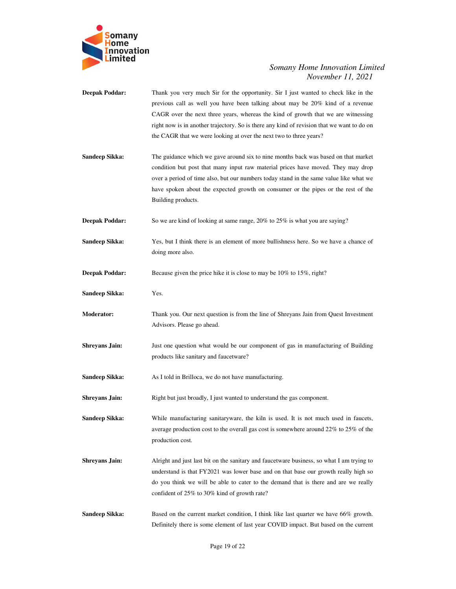

- **Deepak Poddar:** Thank you very much Sir for the opportunity. Sir I just wanted to check like in the previous call as well you have been talking about may be 20% kind of a revenue CAGR over the next three years, whereas the kind of growth that we are witnessing right now is in another trajectory. So is there any kind of revision that we want to do on the CAGR that we were looking at over the next two to three years?
- **Sandeep Sikka:** The guidance which we gave around six to nine months back was based on that market condition but post that many input raw material prices have moved. They may drop over a period of time also, but our numbers today stand in the same value like what we have spoken about the expected growth on consumer or the pipes or the rest of the Building products.
- **Deepak Poddar:** So we are kind of looking at same range, 20% to 25% is what you are saying?
- **Sandeep Sikka:** Yes, but I think there is an element of more bullishness here. So we have a chance of doing more also.
- **Deepak Poddar:** Because given the price hike it is close to may be 10% to 15%, right?
- **Sandeep Sikka:** Yes.
- **Moderator:** Thank you. Our next question is from the line of Shreyans Jain from Quest Investment Advisors. Please go ahead.
- **Shreyans Jain:** Just one question what would be our component of gas in manufacturing of Building products like sanitary and faucetware?
- Sandeep Sikka: As I told in Brilloca, we do not have manufacturing.
- **Shreyans Jain:** Right but just broadly, I just wanted to understand the gas component.
- **Sandeep Sikka:** While manufacturing sanitaryware, the kiln is used. It is not much used in faucets, average production cost to the overall gas cost is somewhere around 22% to 25% of the production cost.
- **Shreyans Jain:** Alright and just last bit on the sanitary and faucetware business, so what I am trying to understand is that FY2021 was lower base and on that base our growth really high so do you think we will be able to cater to the demand that is there and are we really confident of 25% to 30% kind of growth rate?
- **Sandeep Sikka:** Based on the current market condition, I think like last quarter we have 66% growth. Definitely there is some element of last year COVID impact. But based on the current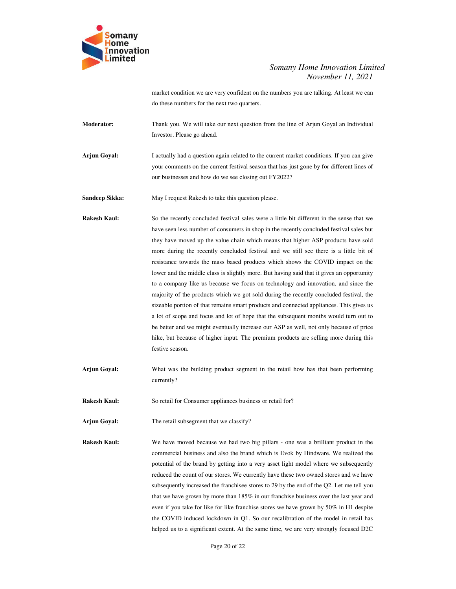

market condition we are very confident on the numbers you are talking. At least we can do these numbers for the next two quarters.

- **Moderator:** Thank you. We will take our next question from the line of Arjun Goyal an Individual Investor. Please go ahead.
- **Arjun Goyal:** I actually had a question again related to the current market conditions. If you can give your comments on the current festival season that has just gone by for different lines of our businesses and how do we see closing out FY2022?
- **Sandeep Sikka:** May I request Rakesh to take this question please.
- **Rakesh Kaul:** So the recently concluded festival sales were a little bit different in the sense that we have seen less number of consumers in shop in the recently concluded festival sales but they have moved up the value chain which means that higher ASP products have sold more during the recently concluded festival and we still see there is a little bit of resistance towards the mass based products which shows the COVID impact on the lower and the middle class is slightly more. But having said that it gives an opportunity to a company like us because we focus on technology and innovation, and since the majority of the products which we got sold during the recently concluded festival, the sizeable portion of that remains smart products and connected appliances. This gives us a lot of scope and focus and lot of hope that the subsequent months would turn out to be better and we might eventually increase our ASP as well, not only because of price hike, but because of higher input. The premium products are selling more during this festive season.
- **Arjun Goyal:** What was the building product segment in the retail how has that been performing currently?
- Rakesh Kaul: So retail for Consumer appliances business or retail for?
- Arjun Goyal: The retail subsegment that we classify?
- **Rakesh Kaul:** We have moved because we had two big pillars one was a brilliant product in the commercial business and also the brand which is Evok by Hindware. We realized the potential of the brand by getting into a very asset light model where we subsequently reduced the count of our stores. We currently have these two owned stores and we have subsequently increased the franchisee stores to 29 by the end of the Q2. Let me tell you that we have grown by more than 185% in our franchise business over the last year and even if you take for like for like franchise stores we have grown by 50% in H1 despite the COVID induced lockdown in Q1. So our recalibration of the model in retail has helped us to a significant extent. At the same time, we are very strongly focused D2C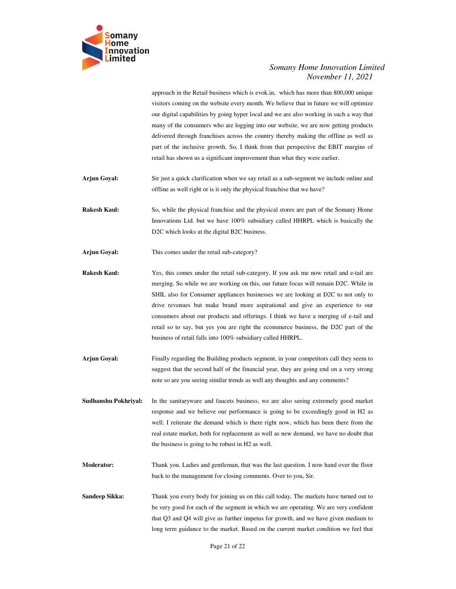

approach in the Retail business which is evok.in, which has more than 800,000 unique visitors coming on the website every month. We believe that in future we will optimize our digital capabilities by going hyper local and we are also working in such a way that many of the consumers who are logging into our website, we are now getting products delivered through franchises across the country thereby making the offline as well as part of the inclusive growth. So, I think from that perspective the EBIT margins of retail has shown us a significant improvement than what they were earlier.

- **Arjun Goyal:** Sir just a quick clarification when we say retail as a sub-segment we include online and offline as well right or is it only the physical franchise that we have?
- **Rakesh Kaul:** So, while the physical franchise and the physical stores are part of the Somany Home Innovations Ltd. but we have 100% subsidiary called HHRPL which is basically the D2C which looks at the digital B2C business.

**Arjun Goyal:** This comes under the retail sub-category?

- **Rakesh Kaul:** Yes, this comes under the retail sub-category. If you ask me now retail and e-tail are merging. So while we are working on this, our future focus will remain D2C. While in SHIL also for Consumer appliances businesses we are looking at D2C to not only to drive revenues but make brand more aspirational and give an experience to our consumers about our products and offerings. I think we have a merging of e-tail and retail so to say, but yes you are right the ecommerce business, the D2C part of the business of retail falls into 100% subsidiary called HHRPL.
- **Arjun Goyal:** Finally regarding the Building products segment, in your competitors call they seem to suggest that the second half of the financial year, they are going end on a very strong note so are you seeing similar trends as well any thoughts and any comments?
- **Sudhanshu Pokhriyal:** In the sanitaryware and faucets business, we are also seeing extremely good market response and we believe our performance is going to be exceedingly good in H2 as well. I reiterate the demand which is there right now, which has been there from the real estate market, both for replacement as well as new demand, we have no doubt that the business is going to be robust in H2 as well.
- **Moderator:** Thank you. Ladies and gentleman, that was the last question. I now hand over the floor back to the management for closing comments. Over to you, Sir.
- **Sandeep Sikka:** Thank you every body for joining us on this call today. The markets have turned out to be very good for each of the segment in which we are operating. We are very confident that Q3 and Q4 will give us further impetus for growth, and we have given medium to long term guidance to the market. Based on the current market condition we feel that